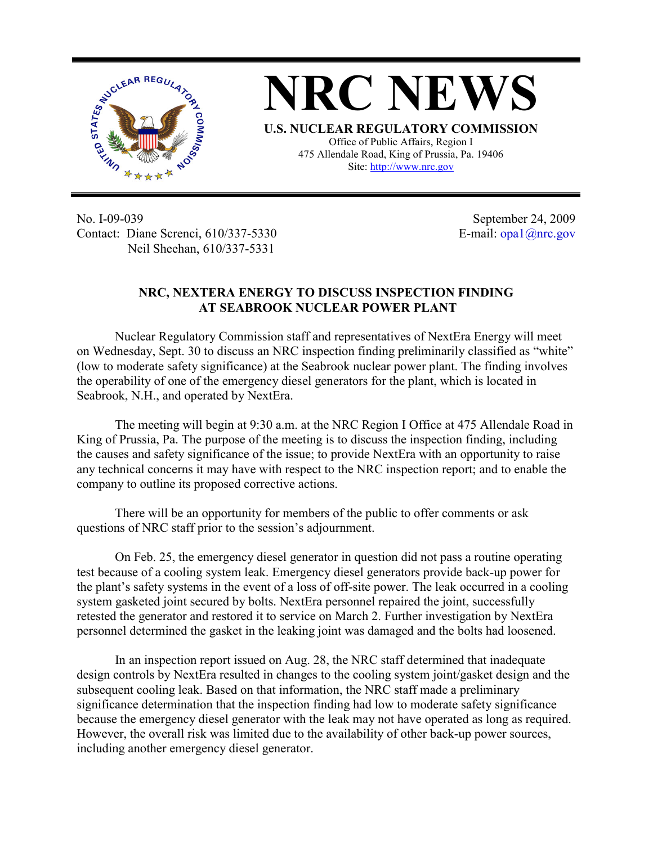

**NRC NEWS U.S. NUCLEAR REGULATORY COMMISSION** Office of Public Affairs, Region I 475 Allendale Road, King of Prussia, Pa. 19406

Site: http://www.nrc.gov

No. I-09-039 Contact: Diane Screnci, 610/337-5330 Neil Sheehan, 610/337-5331

September 24, 2009 E-mail: opa1@nrc.gov

## **NRC, NEXTERA ENERGY TO DISCUSS INSPECTION FINDING AT SEABROOK NUCLEAR POWER PLANT**

 Nuclear Regulatory Commission staff and representatives of NextEra Energy will meet on Wednesday, Sept. 30 to discuss an NRC inspection finding preliminarily classified as "white" (low to moderate safety significance) at the Seabrook nuclear power plant. The finding involves the operability of one of the emergency diesel generators for the plant, which is located in Seabrook, N.H., and operated by NextEra.

 The meeting will begin at 9:30 a.m. at the NRC Region I Office at 475 Allendale Road in King of Prussia, Pa. The purpose of the meeting is to discuss the inspection finding, including the causes and safety significance of the issue; to provide NextEra with an opportunity to raise any technical concerns it may have with respect to the NRC inspection report; and to enable the company to outline its proposed corrective actions.

There will be an opportunity for members of the public to offer comments or ask questions of NRC staff prior to the session's adjournment.

 On Feb. 25, the emergency diesel generator in question did not pass a routine operating test because of a cooling system leak. Emergency diesel generators provide back-up power for the plant's safety systems in the event of a loss of off-site power. The leak occurred in a cooling system gasketed joint secured by bolts. NextEra personnel repaired the joint, successfully retested the generator and restored it to service on March 2. Further investigation by NextEra personnel determined the gasket in the leaking joint was damaged and the bolts had loosened.

 In an inspection report issued on Aug. 28, the NRC staff determined that inadequate design controls by NextEra resulted in changes to the cooling system joint/gasket design and the subsequent cooling leak. Based on that information, the NRC staff made a preliminary significance determination that the inspection finding had low to moderate safety significance because the emergency diesel generator with the leak may not have operated as long as required. However, the overall risk was limited due to the availability of other back-up power sources, including another emergency diesel generator.